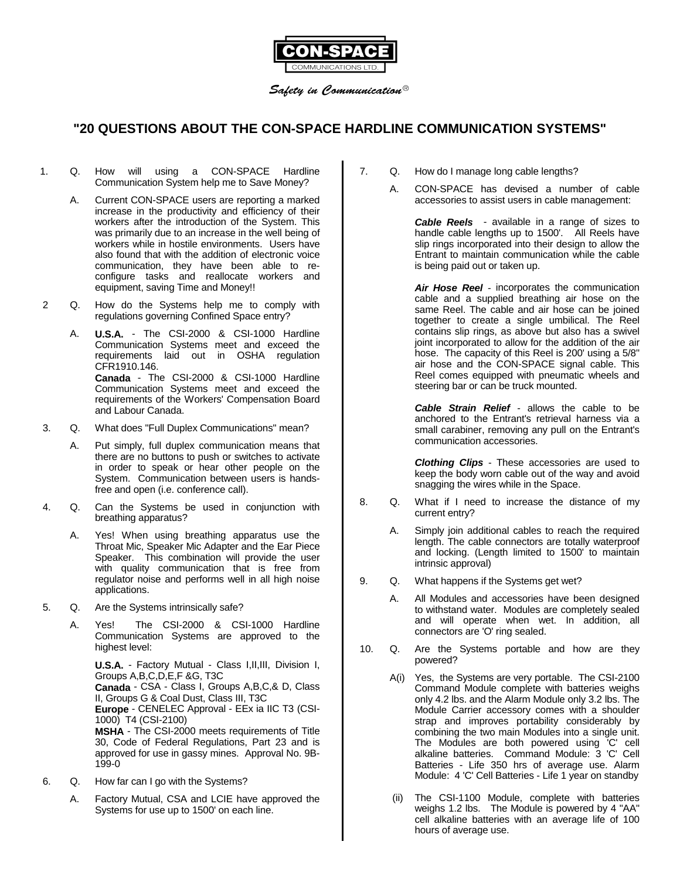

Safety in Communication  $^{\circledR}$ 

# **"20 QUESTIONS ABOUT THE CON-SPACE HARDLINE COMMUNICATION SYSTEMS"**

#### 1. Q. How will using a CON-SPACE Hardline Communication System help me to Save Money?

- A. Current CON-SPACE users are reporting a marked increase in the productivity and efficiency of their workers after the introduction of the System. This was primarily due to an increase in the well being of workers while in hostile environments. Users have also found that with the addition of electronic voice communication, they have been able to reconfigure tasks and reallocate workers and equipment, saving Time and Money!!
- 2 Q. How do the Systems help me to comply with regulations governing Confined Space entry?
	- A. **U.S.A.** The CSI-2000 & CSI-1000 Hardline Communication Systems meet and exceed the requirements laid out in OSHA regulation CFR1910.146. **Canada** - The CSI-2000 & CSI-1000 Hardline Communication Systems meet and exceed the requirements of the Workers' Compensation Board and Labour Canada.
- 3. Q. What does "Full Duplex Communications" mean?
	- A. Put simply, full duplex communication means that there are no buttons to push or switches to activate in order to speak or hear other people on the System. Communication between users is handsfree and open (i.e. conference call).
- 4. Q. Can the Systems be used in conjunction with breathing apparatus?
	- A. Yes! When using breathing apparatus use the Throat Mic, Speaker Mic Adapter and the Ear Piece Speaker. This combination will provide the user with quality communication that is free from regulator noise and performs well in all high noise applications.
- 5. Q. Are the Systems intrinsically safe?
	- A. Yes! The CSI-2000 & CSI-1000 Hardline Communication Systems are approved to the highest level:

**U.S.A.** - Factory Mutual - Class I,II,III, Division I, Groups A,B,C,D,E,F &G, T3C **Canada** - CSA - Class I, Groups A,B,C,& D, Class II, Groups G & Coal Dust, Class III, T3C **Europe** - CENELEC Approval - EEx ia IIC T3 (CSI-1000) T4 (CSI-2100) **MSHA** - The CSI-2000 meets requirements of Title 30, Code of Federal Regulations, Part 23 and is approved for use in gassy mines. Approval No. 9B-199-0

- 6. Q. How far can I go with the Systems?
	- A. Factory Mutual, CSA and LCIE have approved the Systems for use up to 1500' on each line.
- 7. Q. How do I manage long cable lengths?
	- A. CON-SPACE has devised a number of cable accessories to assist users in cable management:

**Cable Reels** - available in a range of sizes to handle cable lengths up to 1500'. All Reels have slip rings incorporated into their design to allow the Entrant to maintain communication while the cable is being paid out or taken up.

**Air Hose Reel** - incorporates the communication cable and a supplied breathing air hose on the same Reel. The cable and air hose can be joined together to create a single umbilical. The Reel contains slip rings, as above but also has a swivel joint incorporated to allow for the addition of the air hose. The capacity of this Reel is 200' using a 5/8" air hose and the CON-SPACE signal cable. This Reel comes equipped with pneumatic wheels and steering bar or can be truck mounted.

**Cable Strain Relief** - allows the cable to be anchored to the Entrant's retrieval harness via a small carabiner, removing any pull on the Entrant's communication accessories.

**Clothing Clips** - These accessories are used to keep the body worn cable out of the way and avoid snagging the wires while in the Space.

- 8. Q. What if I need to increase the distance of my current entry?
	- A. Simply join additional cables to reach the required length. The cable connectors are totally waterproof and locking. (Length limited to 1500' to maintain intrinsic approval)
- 9. Q. What happens if the Systems get wet?
	- A. All Modules and accessories have been designed to withstand water. Modules are completely sealed and will operate when wet. In addition, all connectors are 'O' ring sealed.
- 10. Q. Are the Systems portable and how are they powered?
	- A(i) Yes, the Systems are very portable. The CSI-2100 Command Module complete with batteries weighs only 4.2 lbs. and the Alarm Module only 3.2 lbs. The Module Carrier accessory comes with a shoulder strap and improves portability considerably by combining the two main Modules into a single unit. The Modules are both powered using 'C' cell alkaline batteries. Command Module: 3 'C' Cell Batteries - Life 350 hrs of average use. Alarm Module: 4 'C' Cell Batteries - Life 1 year on standby
	- (ii) The CSI-1100 Module, complete with batteries weighs 1.2 lbs. The Module is powered by 4 "AA" cell alkaline batteries with an average life of 100 hours of average use.